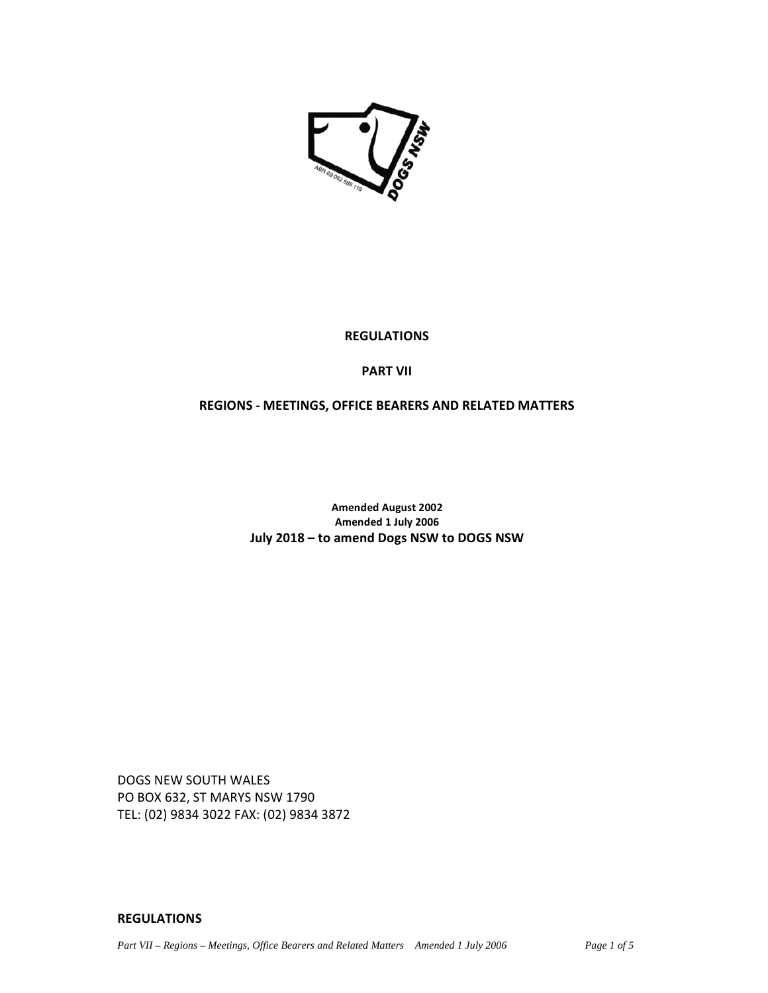

# **REGULATIONS**

# **PART VII**

## **REGIONS - MEETINGS, OFFICE BEARERS AND RELATED MATTERS**

**Amended August 2002 Amended 1 July 2006 July 2018 – to amend Dogs NSW to DOGS NSW** 

DOGS NEW SOUTH WALES PO BOX 632, ST MARYS NSW 1790 TEL: (02) 9834 3022 FAX: (02) 9834 3872

### **REGULATIONS**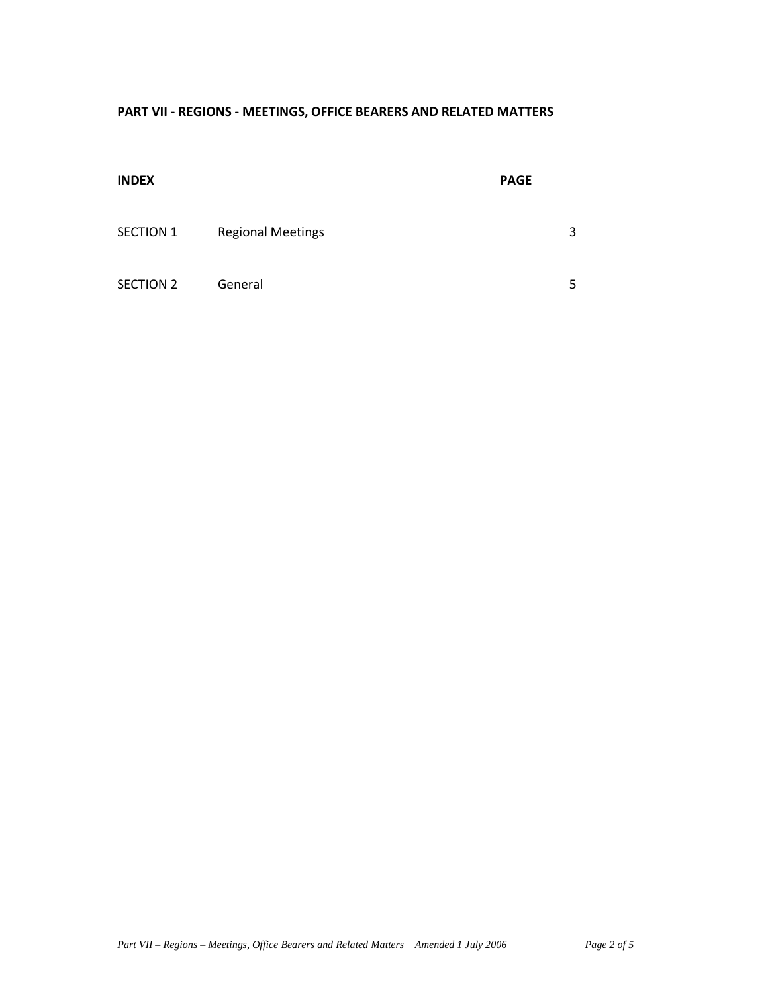# **PART VII - REGIONS - MEETINGS, OFFICE BEARERS AND RELATED MATTERS**

| <b>INDEX</b>     |                          | <b>PAGE</b> |   |
|------------------|--------------------------|-------------|---|
| SECTION 1        | <b>Regional Meetings</b> |             | 3 |
| <b>SECTION 2</b> | General                  |             | 5 |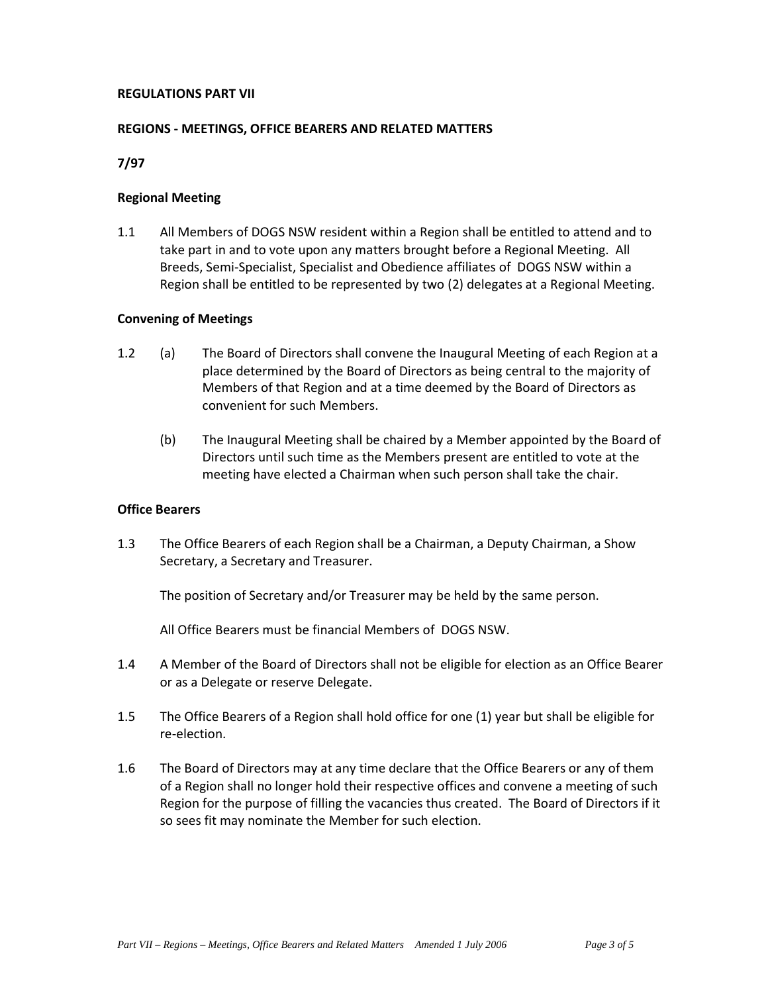### **REGULATIONS PART VII**

### **REGIONS - MEETINGS, OFFICE BEARERS AND RELATED MATTERS**

**7/97** 

#### **Regional Meeting**

1.1 All Members of DOGS NSW resident within a Region shall be entitled to attend and to take part in and to vote upon any matters brought before a Regional Meeting. All Breeds, Semi-Specialist, Specialist and Obedience affiliates of DOGS NSW within a Region shall be entitled to be represented by two (2) delegates at a Regional Meeting.

#### **Convening of Meetings**

- 1.2 (a) The Board of Directors shall convene the Inaugural Meeting of each Region at a place determined by the Board of Directors as being central to the majority of Members of that Region and at a time deemed by the Board of Directors as convenient for such Members.
	- (b) The Inaugural Meeting shall be chaired by a Member appointed by the Board of Directors until such time as the Members present are entitled to vote at the meeting have elected a Chairman when such person shall take the chair.

### **Office Bearers**

1.3 The Office Bearers of each Region shall be a Chairman, a Deputy Chairman, a Show Secretary, a Secretary and Treasurer.

The position of Secretary and/or Treasurer may be held by the same person.

All Office Bearers must be financial Members of DOGS NSW.

- 1.4 A Member of the Board of Directors shall not be eligible for election as an Office Bearer or as a Delegate or reserve Delegate.
- 1.5 The Office Bearers of a Region shall hold office for one (1) year but shall be eligible for re-election.
- 1.6 The Board of Directors may at any time declare that the Office Bearers or any of them of a Region shall no longer hold their respective offices and convene a meeting of such Region for the purpose of filling the vacancies thus created. The Board of Directors if it so sees fit may nominate the Member for such election.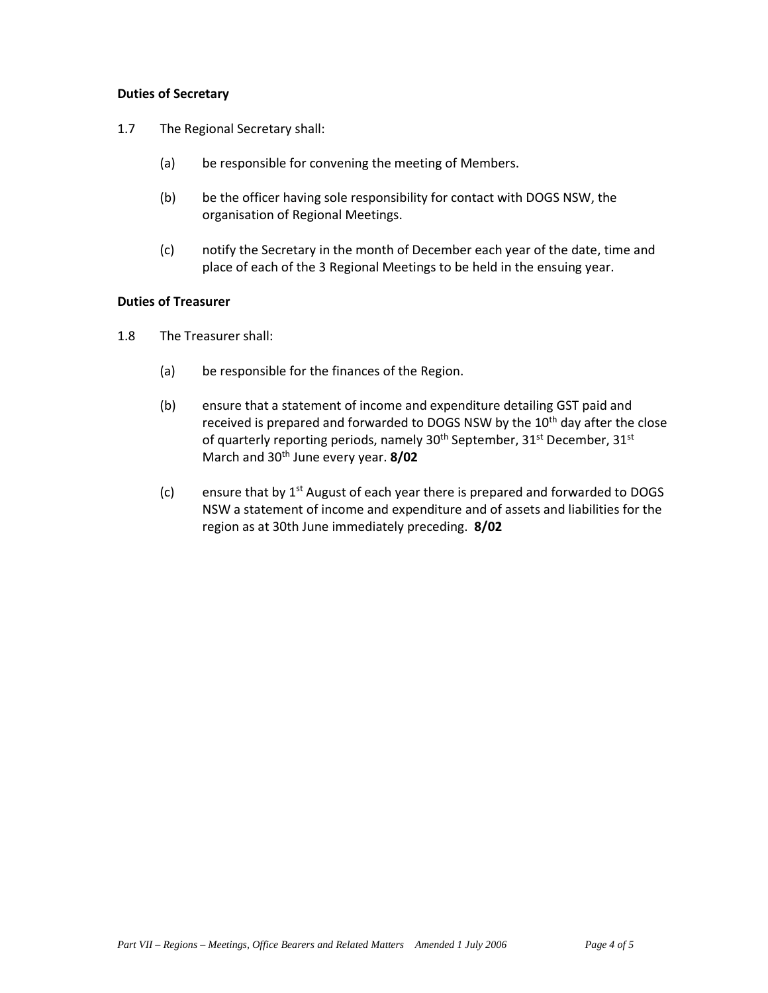## **Duties of Secretary**

- 1.7 The Regional Secretary shall:
	- (a) be responsible for convening the meeting of Members.
	- (b) be the officer having sole responsibility for contact with DOGS NSW, the organisation of Regional Meetings.
	- (c) notify the Secretary in the month of December each year of the date, time and place of each of the 3 Regional Meetings to be held in the ensuing year.

### **Duties of Treasurer**

- 1.8 The Treasurer shall:
	- (a) be responsible for the finances of the Region.
	- (b) ensure that a statement of income and expenditure detailing GST paid and received is prepared and forwarded to DOGS NSW by the 10<sup>th</sup> day after the close of quarterly reporting periods, namely 30<sup>th</sup> September, 31<sup>st</sup> December, 31<sup>st</sup> March and 30th June every year. **8/02**
	- (c) ensure that by  $1<sup>st</sup>$  August of each year there is prepared and forwarded to DOGS NSW a statement of income and expenditure and of assets and liabilities for the region as at 30th June immediately preceding. **8/02**